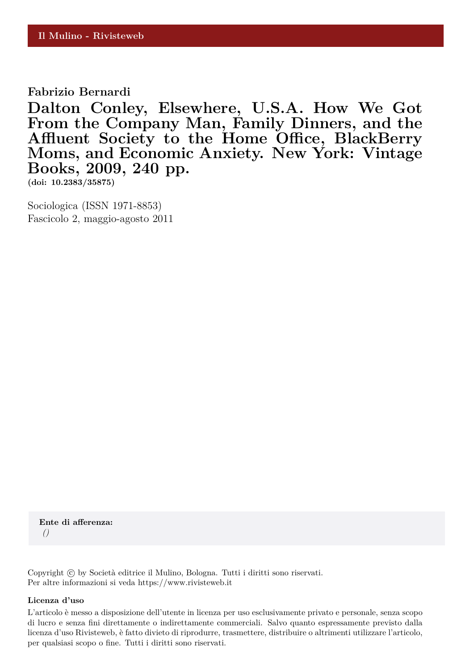**Fabrizio Bernardi**

**Dalton Conley, Elsewhere, U.S.A. How We Got From the Company Man, Family Dinners, and the Affluent Society to the Home Office, BlackBerry Moms, and Economic Anxiety. New York: Vintage Books, 2009, 240 pp.**

**(doi: 10.2383/35875)**

Sociologica (ISSN 1971-8853) Fascicolo 2, maggio-agosto 2011

**Ente di afferenza:** *()*

Copyright © by Società editrice il Mulino, Bologna. Tutti i diritti sono riservati. Per altre informazioni si veda https://www.rivisteweb.it

## **Licenza d'uso**

L'articolo è messo a disposizione dell'utente in licenza per uso esclusivamente privato e personale, senza scopo di lucro e senza fini direttamente o indirettamente commerciali. Salvo quanto espressamente previsto dalla licenza d'uso Rivisteweb, è fatto divieto di riprodurre, trasmettere, distribuire o altrimenti utilizzare l'articolo, per qualsiasi scopo o fine. Tutti i diritti sono riservati.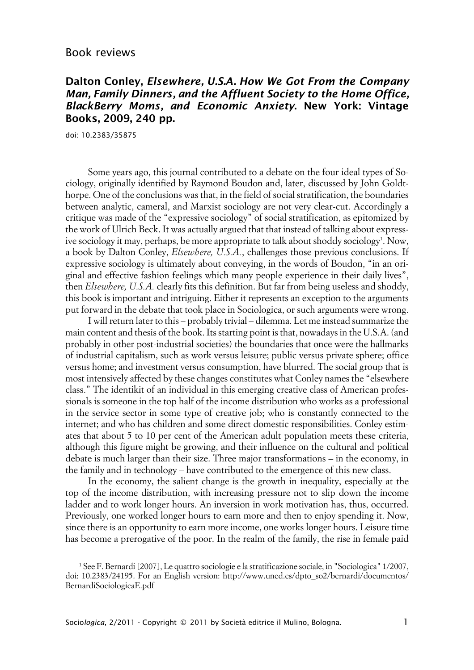## **Dalton Conley, Elsewhere, U.S.A. How We Got From the Company Man, Family Dinners, and the Affluent Society to the Home Office, BlackBerry Moms, and Economic Anxiety. New York: Vintage Books, 2009, 240 pp.**

doi: 10.2383/35875

Some years ago, this journal contributed to a debate on the four ideal types of Sociology, originally identified by Raymond Boudon and, later, discussed by John Goldthorpe. One of the conclusions was that, in the field of social stratification, the boundaries between analytic, cameral, and Marxist sociology are not very clear-cut. Accordingly a critique was made of the "expressive sociology" of social stratification, as epitomized by the work of Ulrich Beck. It was actually argued that that instead of talking about expressive sociology it may, perhaps, be more appropriate to talk about shoddy sociology<sup>1</sup>. Now, a book by Dalton Conley, *Elsewhere, U.S.A.*, challenges those previous conclusions. If expressive sociology is ultimately about conveying, in the words of Boudon, "in an original and effective fashion feelings which many people experience in their daily lives", then *Elsewhere, U.S.A.* clearly fits this definition. But far from being useless and shoddy, this book is important and intriguing. Either it represents an exception to the arguments put forward in the debate that took place in Sociologica, or such arguments were wrong.

I will return later to this – probably trivial – dilemma. Let me instead summarize the main content and thesis of the book. Its starting point is that, nowadays in the U.S.A. (and probably in other post-industrial societies) the boundaries that once were the hallmarks of industrial capitalism, such as work versus leisure; public versus private sphere; office versus home; and investment versus consumption, have blurred. The social group that is most intensively affected by these changes constitutes what Conley names the "elsewhere class." The identikit of an individual in this emerging creative class of American professionals is someone in the top half of the income distribution who works as a professional in the service sector in some type of creative job; who is constantly connected to the internet; and who has children and some direct domestic responsibilities. Conley estimates that about 5 to 10 per cent of the American adult population meets these criteria, although this figure might be growing, and their influence on the cultural and political debate is much larger than their size. Three major transformations – in the economy, in the family and in technology – have contributed to the emergence of this new class.

In the economy, the salient change is the growth in inequality, especially at the top of the income distribution, with increasing pressure not to slip down the income ladder and to work longer hours. An inversion in work motivation has, thus, occurred. Previously, one worked longer hours to earn more and then to enjoy spending it. Now, since there is an opportunity to earn more income, one works longer hours. Leisure time has become a prerogative of the poor. In the realm of the family, the rise in female paid

<sup>1</sup> See F. Bernardi [2007], Le quattro sociologie e la stratificazione sociale, in "Sociologica" 1/2007, doi: 10.2383/24195. For an English version: http://www.uned.es/dpto\_so2/bernardi/documentos/ BernardiSociologicaE.pdf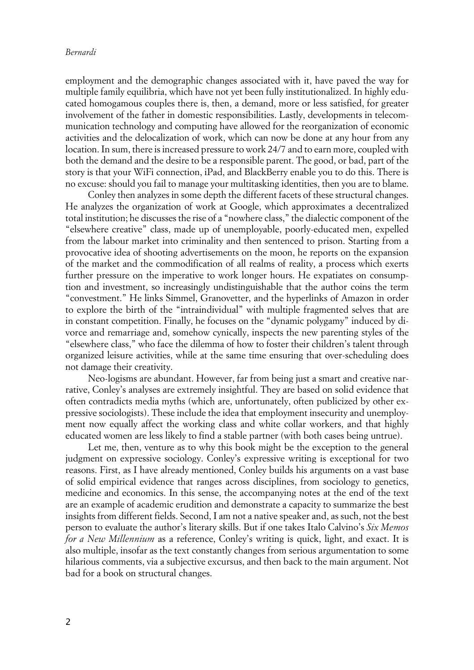## *Bernardi*

employment and the demographic changes associated with it, have paved the way for multiple family equilibria, which have not yet been fully institutionalized. In highly educated homogamous couples there is, then, a demand, more or less satisfied, for greater involvement of the father in domestic responsibilities. Lastly, developments in telecommunication technology and computing have allowed for the reorganization of economic activities and the delocalization of work, which can now be done at any hour from any location. In sum, there is increased pressure to work 24/7 and to earn more, coupled with both the demand and the desire to be a responsible parent. The good, or bad, part of the story is that your WiFi connection, iPad, and BlackBerry enable you to do this. There is no excuse: should you fail to manage your multitasking identities, then you are to blame.

Conley then analyzes in some depth the different facets of these structural changes. He analyzes the organization of work at Google, which approximates a decentralized total institution; he discusses the rise of a "nowhere class," the dialectic component of the "elsewhere creative" class, made up of unemployable, poorly-educated men, expelled from the labour market into criminality and then sentenced to prison. Starting from a provocative idea of shooting advertisements on the moon, he reports on the expansion of the market and the commodification of all realms of reality, a process which exerts further pressure on the imperative to work longer hours. He expatiates on consumption and investment, so increasingly undistinguishable that the author coins the term "convestment." He links Simmel, Granovetter, and the hyperlinks of Amazon in order to explore the birth of the "intraindividual" with multiple fragmented selves that are in constant competition. Finally, he focuses on the "dynamic polygamy" induced by divorce and remarriage and, somehow cynically, inspects the new parenting styles of the "elsewhere class," who face the dilemma of how to foster their children's talent through organized leisure activities, while at the same time ensuring that over-scheduling does not damage their creativity.

Neo-logisms are abundant. However, far from being just a smart and creative narrative, Conley's analyses are extremely insightful. They are based on solid evidence that often contradicts media myths (which are, unfortunately, often publicized by other expressive sociologists). These include the idea that employment insecurity and unemployment now equally affect the working class and white collar workers, and that highly educated women are less likely to find a stable partner (with both cases being untrue).

Let me, then, venture as to why this book might be the exception to the general judgment on expressive sociology. Conley's expressive writing is exceptional for two reasons. First, as I have already mentioned, Conley builds his arguments on a vast base of solid empirical evidence that ranges across disciplines, from sociology to genetics, medicine and economics. In this sense, the accompanying notes at the end of the text are an example of academic erudition and demonstrate a capacity to summarize the best insights from different fields. Second, I am not a native speaker and, as such, not the best person to evaluate the author's literary skills. But if one takes Italo Calvino's *Six Memos for a New Millennium* as a reference, Conley's writing is quick, light, and exact. It is also multiple, insofar as the text constantly changes from serious argumentation to some hilarious comments, via a subjective excursus, and then back to the main argument. Not bad for a book on structural changes.